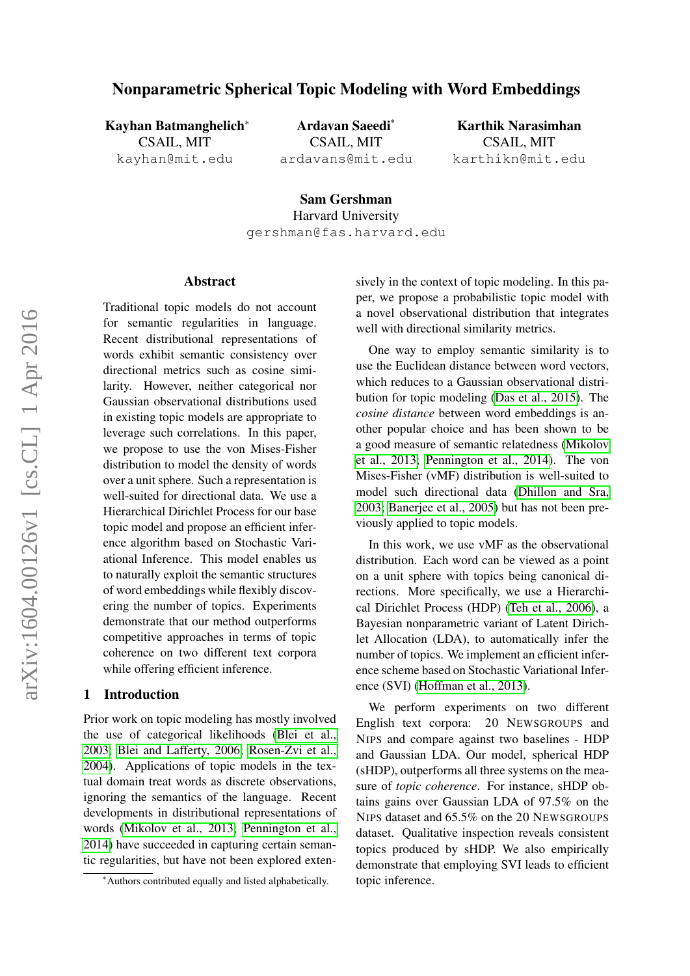# Nonparametric Spherical Topic Modeling with Word Embeddings

Kayhan Batmanghelich<sup>∗</sup> CSAIL, MIT kayhan@mit.edu

Ardavan Saeedi\* CSAIL, MIT ardavans@mit.edu

Karthik Narasimhan CSAIL, MIT karthikn@mit.edu

Sam Gershman Harvard University gershman@fas.harvard.edu

## Abstract

Traditional topic models do not account for semantic regularities in language. Recent distributional representations of words exhibit semantic consistency over directional metrics such as cosine similarity. However, neither categorical nor Gaussian observational distributions used in existing topic models are appropriate to leverage such correlations. In this paper, we propose to use the von Mises-Fisher distribution to model the density of words over a unit sphere. Such a representation is well-suited for directional data. We use a Hierarchical Dirichlet Process for our base topic model and propose an efficient inference algorithm based on Stochastic Variational Inference. This model enables us to naturally exploit the semantic structures of word embeddings while flexibly discovering the number of topics. Experiments demonstrate that our method outperforms competitive approaches in terms of topic coherence on two different text corpora while offering efficient inference.

#### 1 Introduction

Prior work on topic modeling has mostly involved the use of categorical likelihoods [\(Blei et al.,](#page-4-0) [2003;](#page-4-0) [Blei and Lafferty, 2006;](#page-4-1) [Rosen-Zvi et al.,](#page-4-2) [2004\)](#page-4-2). Applications of topic models in the textual domain treat words as discrete observations, ignoring the semantics of the language. Recent developments in distributional representations of words [\(Mikolov et al., 2013;](#page-4-3) [Pennington et al.,](#page-4-4) [2014\)](#page-4-4) have succeeded in capturing certain semantic regularities, but have not been explored extensively in the context of topic modeling. In this paper, we propose a probabilistic topic model with a novel observational distribution that integrates well with directional similarity metrics.

One way to employ semantic similarity is to use the Euclidean distance between word vectors, which reduces to a Gaussian observational distribution for topic modeling [\(Das et al., 2015\)](#page-4-5). The *cosine distance* between word embeddings is another popular choice and has been shown to be a good measure of semantic relatedness [\(Mikolov](#page-4-3) [et al., 2013;](#page-4-3) [Pennington et al., 2014\)](#page-4-4). The von Mises-Fisher (vMF) distribution is well-suited to model such directional data [\(Dhillon and Sra,](#page-4-6) [2003;](#page-4-6) [Banerjee et al., 2005\)](#page-4-7) but has not been previously applied to topic models.

In this work, we use vMF as the observational distribution. Each word can be viewed as a point on a unit sphere with topics being canonical directions. More specifically, we use a Hierarchical Dirichlet Process (HDP) [\(Teh et al., 2006\)](#page-4-8), a Bayesian nonparametric variant of Latent Dirichlet Allocation (LDA), to automatically infer the number of topics. We implement an efficient inference scheme based on Stochastic Variational Inference (SVI) [\(Hoffman et al., 2013\)](#page-4-9).

We perform experiments on two different English text corpora: 20 NEWSGROUPS and NIPS and compare against two baselines - HDP and Gaussian LDA. Our model, spherical HDP (sHDP), outperforms all three systems on the measure of *topic coherence*. For instance, sHDP obtains gains over Gaussian LDA of 97.5% on the NIPS dataset and 65.5% on the 20 NEWSGROUPS dataset. Qualitative inspection reveals consistent topics produced by sHDP. We also empirically demonstrate that employing SVI leads to efficient topic inference.

<sup>∗</sup>Authors contributed equally and listed alphabetically.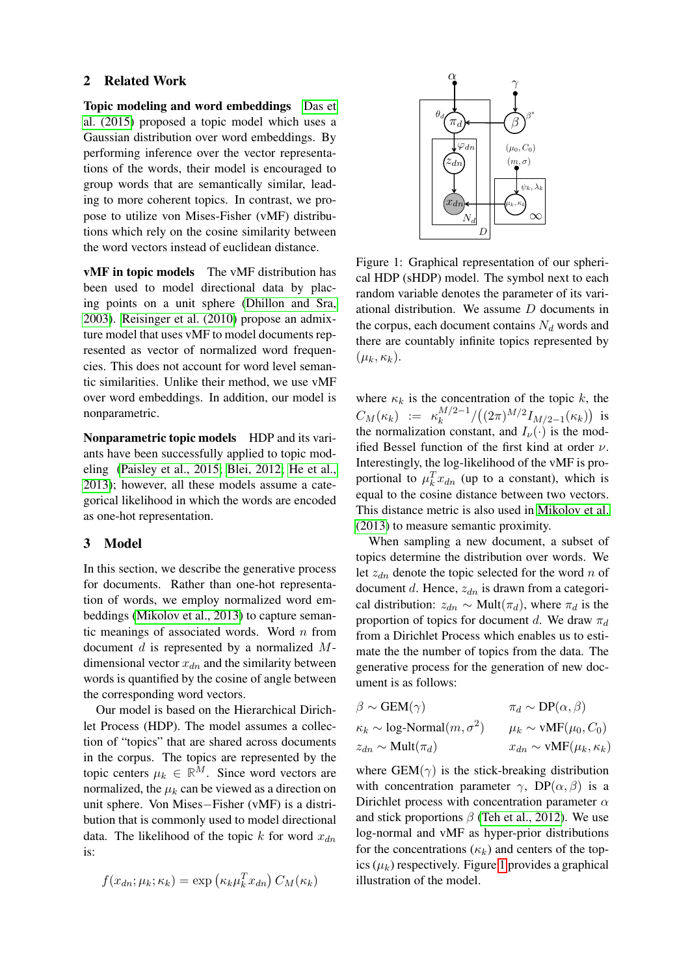### 2 Related Work

Topic modeling and word embeddings [Das et](#page-4-5) [al. \(2015\)](#page-4-5) proposed a topic model which uses a Gaussian distribution over word embeddings. By performing inference over the vector representations of the words, their model is encouraged to group words that are semantically similar, leading to more coherent topics. In contrast, we propose to utilize von Mises-Fisher (vMF) distributions which rely on the cosine similarity between the word vectors instead of euclidean distance.

vMF in topic models The vMF distribution has been used to model directional data by placing points on a unit sphere [\(Dhillon and Sra,](#page-4-6) [2003\)](#page-4-6). [Reisinger et al. \(2010\)](#page-4-10) propose an admixture model that uses vMF to model documents represented as vector of normalized word frequencies. This does not account for word level semantic similarities. Unlike their method, we use vMF over word embeddings. In addition, our model is nonparametric.

Nonparametric topic models HDP and its variants have been successfully applied to topic modeling [\(Paisley et al., 2015;](#page-4-11) [Blei, 2012;](#page-4-12) [He et al.,](#page-4-13) [2013\)](#page-4-13); however, all these models assume a categorical likelihood in which the words are encoded as one-hot representation.

## 3 Model

In this section, we describe the generative process for documents. Rather than one-hot representation of words, we employ normalized word embeddings [\(Mikolov et al., 2013\)](#page-4-3) to capture semantic meanings of associated words. Word  $n$  from document  $d$  is represented by a normalized  $M$ dimensional vector  $x_{dn}$  and the similarity between words is quantified by the cosine of angle between the corresponding word vectors.

Our model is based on the Hierarchical Dirichlet Process (HDP). The model assumes a collection of "topics" that are shared across documents in the corpus. The topics are represented by the topic centers  $\mu_k \in \mathbb{R}^M$ . Since word vectors are normalized, the  $\mu_k$  can be viewed as a direction on unit sphere. Von Mises−Fisher (vMF) is a distribution that is commonly used to model directional data. The likelihood of the topic k for word  $x_{dn}$ is:

$$
f(x_{dn}; \mu_k; \kappa_k) = \exp\left(\kappa_k \mu_k^T x_{dn}\right) C_M(\kappa_k)
$$



<span id="page-1-0"></span>Figure 1: Graphical representation of our spherical HDP (sHDP) model. The symbol next to each random variable denotes the parameter of its variational distribution. We assume D documents in the corpus, each document contains  $N_d$  words and there are countably infinite topics represented by  $(\mu_k, \kappa_k).$ 

where  $\kappa_k$  is the concentration of the topic k, the  $C_M(\kappa_k) := \kappa_k^{M/2-1}$  $\int_{k}^{M/2-1}/\bigl((2\pi)^{M/2}I_{M/2-1}(\kappa_k)\bigr)$  is the normalization constant, and  $I_{\nu}(\cdot)$  is the modified Bessel function of the first kind at order  $\nu$ . Interestingly, the log-likelihood of the vMF is proportional to  $\mu_k^T x_{dn}$  (up to a constant), which is equal to the cosine distance between two vectors. This distance metric is also used in [Mikolov et al.](#page-4-3) [\(2013\)](#page-4-3) to measure semantic proximity.

When sampling a new document, a subset of topics determine the distribution over words. We let  $z_{dn}$  denote the topic selected for the word n of document d. Hence,  $z_{dn}$  is drawn from a categorical distribution:  $z_{dn} \sim \text{Mult}(\pi_d)$ , where  $\pi_d$  is the proportion of topics for document d. We draw  $\pi_d$ from a Dirichlet Process which enables us to estimate the the number of topics from the data. The generative process for the generation of new document is as follows:

| $\beta \sim \text{GEM}(\gamma)$                 | $\pi_d \sim DP(\alpha, \beta)$            |
|-------------------------------------------------|-------------------------------------------|
| $\kappa_k \sim \log\text{-Normal}(m, \sigma^2)$ | $\mu_k \sim \text{vMF}(\mu_0, C_0)$       |
| $z_{dn} \sim \text{Mult}(\pi_d)$                | $x_{dn} \sim \text{vMF}(\mu_k, \kappa_k)$ |

where  $GEM(\gamma)$  is the stick-breaking distribution with concentration parameter  $\gamma$ , DP( $\alpha$ ,  $\beta$ ) is a Dirichlet process with concentration parameter  $\alpha$ and stick proportions  $\beta$  [\(Teh et al., 2012\)](#page-4-14). We use log-normal and vMF as hyper-prior distributions for the concentrations  $(\kappa_k)$  and centers of the topics  $(\mu_k)$  respectively. Figure [1](#page-1-0) provides a graphical illustration of the model.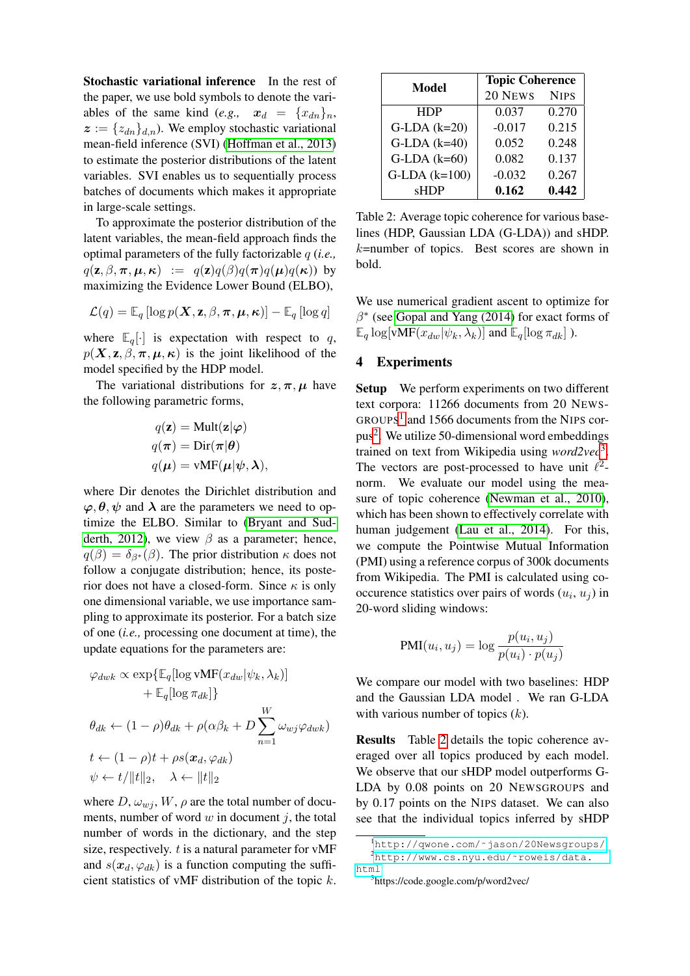Stochastic variational inference In the rest of the paper, we use bold symbols to denote the variables of the same kind (*e.g.*,  $x_d = \{x_{dn}\}_n$ ,  $z := \{z_{dn}\}_{d,n}$ ). We employ stochastic variational mean-field inference (SVI) [\(Hoffman et al., 2013\)](#page-4-9) to estimate the posterior distributions of the latent variables. SVI enables us to sequentially process batches of documents which makes it appropriate in large-scale settings.

To approximate the posterior distribution of the latent variables, the mean-field approach finds the optimal parameters of the fully factorizable q (*i.e.,*  $q(\mathbf{z}, \beta, \boldsymbol{\pi}, \boldsymbol{\mu}, \boldsymbol{\kappa}) := q(\mathbf{z})q(\beta)q(\boldsymbol{\pi})q(\boldsymbol{\mu})q(\boldsymbol{\kappa})$  by maximizing the Evidence Lower Bound (ELBO),

$$
\mathcal{L}(q) = \mathbb{E}_q \left[ \log p(\mathbf{X}, \mathbf{z}, \beta, \boldsymbol{\pi}, \boldsymbol{\mu}, \boldsymbol{\kappa}) \right] - \mathbb{E}_q \left[ \log q \right]
$$

where  $\mathbb{E}_q[\cdot]$  is expectation with respect to q,  $p(X, z, \beta, \pi, \mu, \kappa)$  is the joint likelihood of the model specified by the HDP model.

The variational distributions for  $z, \pi, \mu$  have the following parametric forms,

$$
q(\mathbf{z}) = \text{Mult}(\mathbf{z}|\boldsymbol{\varphi})
$$

$$
q(\boldsymbol{\pi}) = \text{Dir}(\boldsymbol{\pi}|\boldsymbol{\theta})
$$

$$
q(\boldsymbol{\mu}) = \text{vMF}(\boldsymbol{\mu}|\boldsymbol{\psi}, \boldsymbol{\lambda}),
$$

where Dir denotes the Dirichlet distribution and  $\varphi, \theta, \psi$  and  $\lambda$  are the parameters we need to optimize the ELBO. Similar to [\(Bryant and Sud](#page-4-15)[derth, 2012\)](#page-4-15), we view  $\beta$  as a parameter; hence,  $q(\beta) = \delta_{\beta^*}(\beta)$ . The prior distribution  $\kappa$  does not follow a conjugate distribution; hence, its posterior does not have a closed-form. Since  $\kappa$  is only one dimensional variable, we use importance sampling to approximate its posterior. For a batch size of one (*i.e.,* processing one document at time), the update equations for the parameters are:

$$
\varphi_{dwk} \propto \exp\{\mathbb{E}_q[\log \text{vMF}(x_{dw}|\psi_k, \lambda_k)] + \mathbb{E}_q[\log \pi_{dk}]\}
$$
  
+ 
$$
\theta_{dk} \leftarrow (1 - \rho)\theta_{dk} + \rho(\alpha\beta_k + D\sum_{n=1}^W \omega_{wj}\varphi_{dwk})
$$
  

$$
t \leftarrow (1 - \rho)t + \rho s(x_d, \varphi_{dk})
$$
  

$$
\psi \leftarrow t/\|t\|_2, \quad \lambda \leftarrow \|t\|_2
$$

where  $D, \omega_{wj}, W, \rho$  are the total number of documents, number of word  $w$  in document  $j$ , the total number of words in the dictionary, and the step size, respectively.  $t$  is a natural parameter for vMF and  $s(x_d, \varphi_{dk})$  is a function computing the sufficient statistics of vMF distribution of the topic  $k$ .

| <b>Model</b>      | <b>Topic Coherence</b> |             |  |  |
|-------------------|------------------------|-------------|--|--|
|                   | 20 NEWS                | <b>NIPS</b> |  |  |
| <b>HDP</b>        | 0.037                  | 0.270       |  |  |
| $G-LDA$ $(k=20)$  | $-0.017$               | 0.215       |  |  |
| $G-LDA$ $(k=40)$  | 0.052                  | 0.248       |  |  |
| $G-LDA$ $(k=60)$  | 0.082                  | 0.137       |  |  |
| $G-LDA$ $(k=100)$ | $-0.032$               | 0.267       |  |  |
| sHDP              | 0.162                  | 0.442       |  |  |

<span id="page-2-3"></span>Table 2: Average topic coherence for various baselines (HDP, Gaussian LDA (G-LDA)) and sHDP.  $k$ =number of topics. Best scores are shown in bold.

We use numerical gradient ascent to optimize for  $\beta^*$  (see [Gopal and Yang \(2014\)](#page-4-16) for exact forms of  $\mathbb{E}_q \log[\text{vMF}(x_{dw}|\psi_k, \lambda_k)]$  and  $\mathbb{E}_q[\log \pi_{dk}]$ ).

# 4 Experiments

Setup We perform experiments on two different text corpora: 11266 documents from 20 NEWS-GROUPS<sup>[1](#page-2-0)</sup> and 1566 documents from the NIPS cor-pus<sup>[2](#page-2-1)</sup>. We utilize 50-dimensional word embeddings trained on text from Wikipedia using *word2vec*[3](#page-2-2) . The vectors are post-processed to have unit  $\ell^2$ norm. We evaluate our model using the measure of topic coherence [\(Newman et al., 2010\)](#page-4-17), which has been shown to effectively correlate with human judgement [\(Lau et al., 2014\)](#page-4-18). For this, we compute the Pointwise Mutual Information (PMI) using a reference corpus of 300k documents from Wikipedia. The PMI is calculated using cooccurence statistics over pairs of words  $(u_i, u_j)$  in 20-word sliding windows:

$$
PMI(u_i, u_j) = \log \frac{p(u_i, u_j)}{p(u_i) \cdot p(u_j)}
$$

We compare our model with two baselines: HDP and the Gaussian LDA model . We ran G-LDA with various number of topics  $(k)$ .

Results Table [2](#page-2-3) details the topic coherence averaged over all topics produced by each model. We observe that our sHDP model outperforms G-LDA by 0.08 points on 20 NEWSGROUPS and by 0.17 points on the NIPS dataset. We can also see that the individual topics inferred by sHDP

<span id="page-2-1"></span><span id="page-2-0"></span><sup>1</sup>[http://qwone.com/˜jason/20Newsgroups/](http://qwone.com/~jason/20Newsgroups/) <sup>2</sup>[http://www.cs.nyu.edu/˜roweis/data.](http://www.cs.nyu.edu/~roweis/data. html) [html](http://www.cs.nyu.edu/~roweis/data. html)

<span id="page-2-2"></span><sup>3</sup> https://code.google.com/p/word2vec/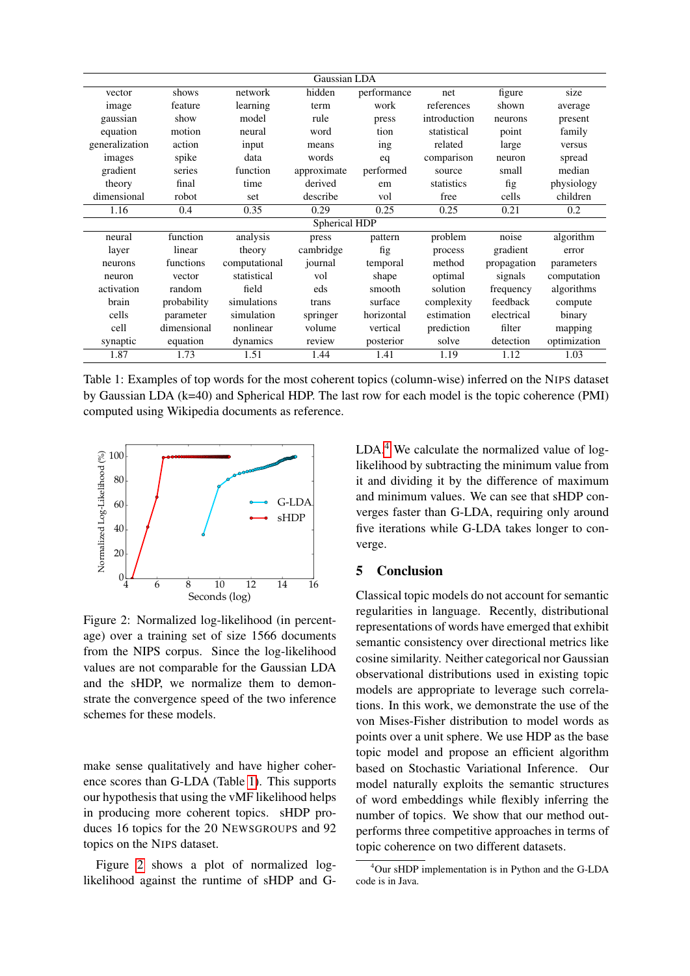| Gaussian LDA   |             |               |               |             |              |             |              |
|----------------|-------------|---------------|---------------|-------------|--------------|-------------|--------------|
| vector         | shows       | network       | hidden        | performance | net          | figure      | size         |
| image          | feature     | learning      | term          | work        | references   | shown       | average      |
| gaussian       | show        | model         | rule          | press       | introduction | neurons     | present      |
| equation       | motion      | neural        | word          | tion        | statistical  | point       | family       |
| generalization | action      | input         | means         | ing         | related      | large       | versus       |
| images         | spike       | data          | words         | eq          | comparison   | neuron      | spread       |
| gradient       | series      | function      | approximate   | performed   | source       | small       | median       |
| theory         | final       | time          | derived       | em          | statistics   | fig         | physiology   |
| dimensional    | robot       | set           | describe      | vol         | free         | cells       | children     |
| 1.16           | 0.4         | 0.35          | 0.29          | 0.25        | 0.25         | 0.21        | 0.2          |
|                |             |               | Spherical HDP |             |              |             |              |
| neural         | function    | analysis      | press         | pattern     | problem      | noise       | algorithm    |
| layer          | linear      | theory        | cambridge     | fig         | process      | gradient    | error        |
| neurons        | functions   | computational | journal       | temporal    | method       | propagation | parameters   |
| neuron         | vector      | statistical   | vol           | shape       | optimal      | signals     | computation  |
| activation     | random      | field         | eds           | smooth      | solution     | frequency   | algorithms   |
| brain          | probability | simulations   | trans         | surface     | complexity   | feedback    | compute      |
| cells          | parameter   | simulation    | springer      | horizontal  | estimation   | electrical  | binary       |
| cell           | dimensional | nonlinear     | volume        | vertical    | prediction   | filter      | mapping      |
| synaptic       | equation    | dynamics      | review        | posterior   | solve        | detection   | optimization |
| 1.87           | 1.73        | 1.51          | 1.44          | 1.41        | 1.19         | 1.12        | 1.03         |

<span id="page-3-0"></span>Table 1: Examples of top words for the most coherent topics (column-wise) inferred on the NIPS dataset by Gaussian LDA (k=40) and Spherical HDP. The last row for each model is the topic coherence (PMI) computed using Wikipedia documents as reference.



<span id="page-3-1"></span>Figure 2: Normalized log-likelihood (in percentage) over a training set of size 1566 documents from the NIPS corpus. Since the log-likelihood values are not comparable for the Gaussian LDA and the sHDP, we normalize them to demonstrate the convergence speed of the two inference schemes for these models.

make sense qualitatively and have higher coherence scores than G-LDA (Table [1\)](#page-3-0). This supports our hypothesis that using the vMF likelihood helps in producing more coherent topics. sHDP produces 16 topics for the 20 NEWSGROUPS and 92 topics on the NIPS dataset.

Figure [2](#page-3-1) shows a plot of normalized loglikelihood against the runtime of sHDP and G- LDA.<sup>[4](#page-3-2)</sup> We calculate the normalized value of loglikelihood by subtracting the minimum value from it and dividing it by the difference of maximum and minimum values. We can see that sHDP converges faster than G-LDA, requiring only around five iterations while G-LDA takes longer to converge.

# 5 Conclusion

Classical topic models do not account for semantic regularities in language. Recently, distributional representations of words have emerged that exhibit semantic consistency over directional metrics like cosine similarity. Neither categorical nor Gaussian observational distributions used in existing topic models are appropriate to leverage such correlations. In this work, we demonstrate the use of the von Mises-Fisher distribution to model words as points over a unit sphere. We use HDP as the base topic model and propose an efficient algorithm based on Stochastic Variational Inference. Our model naturally exploits the semantic structures of word embeddings while flexibly inferring the number of topics. We show that our method outperforms three competitive approaches in terms of topic coherence on two different datasets.

<span id="page-3-2"></span><sup>4</sup>Our sHDP implementation is in Python and the G-LDA code is in Java.